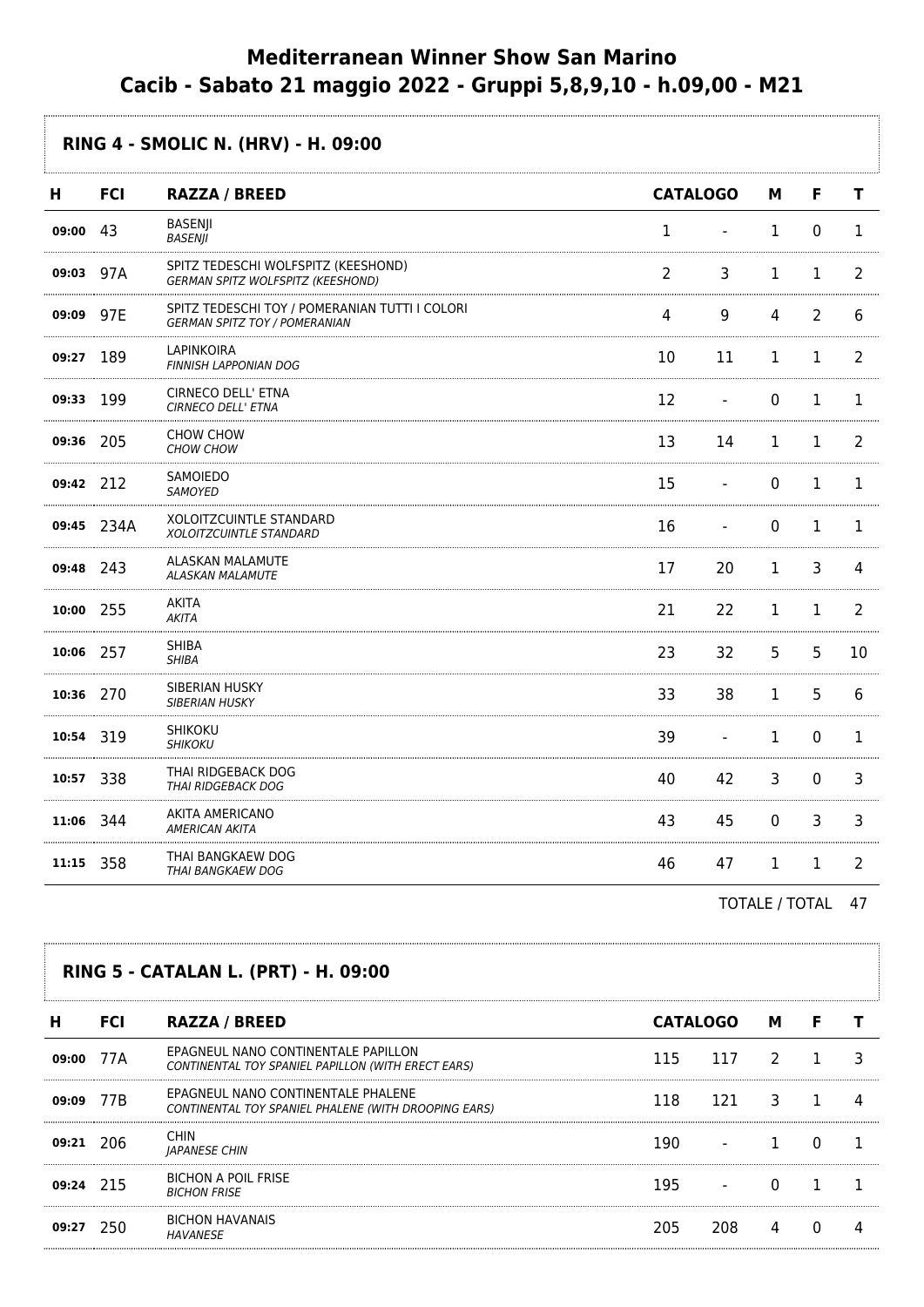## **Mediterranean Winner Show San Marino Cacib - Sabato 21 maggio 2022 - Gruppi 5,8,9,10 - h.09,00 - M21**

## **RING 4 - SMOLIC N. (HRV) - H. 09:00 H FCI RAZZA / BREED CATALOGO M F T 09:00** 43 BASENJI BASENJI<br>BASENJI 1 - 1 0 1 **09:03** 97A SPITZ TEDESCHI WOLFSPITZ (KEESHOND) SPITZ TEDESCHI WOLFSPITZ (KEESHOND)<br>GERMAN SPITZ WOLFSPITZ (KEESHOND) 2 3 1 1 2 **09:09** 97E SPITZ TEDESCHI TOY / POMERANIAN TUTTI I COLORI SPITZ TEDESCHI TOY / POMERANIAN TUTTIT COLORI<br>GERMAN SPITZ TOY / POMERANIAN **09:27** 189 LAPINKOIRA FINNISH LAPPONIAN DOG 10 11 1 1 2 **09:33** 199 CIRNECO DELL' ETNA<br>*CIRNECO DELL' ETNA* CIRNECO DELL'ETNA<br>CIRNECO DELL'ETNA 12 - 0 1 1 **09:36** 205 CHOW CHOW CHOW CHOW 13 14 1 1 2 **09:42** 212 SAMOIEDO SAMOILDO<br>SAMOYED 15 - 0 1 1 **09:45** 234A XOLOITZCUINTLE STANDARD XOLOITZCUINTLE STANDARD<br>XOLOITZCUINTLE STANDARD **09:48** 243 ALASKAN MALAMUTE ALASKAN MALAMUTE 17 20 1 3 4 **10:00** 255 AKITA ANTIA<br>AKITA 21 22 1 1 2 **10:06** 257 SHIBA SHIBA<br>SHIBA 23 32 5 5 10 **10:36** 270 SIBERIAN HUSKY SIBERIAN HUSKY 33 38 1 5 6 **10:54** 319 **SHIKOKU** SHIKOKU 39 - 1 0 1 **10:57** 338 THAI RIDGEBACK DOG THAI RIDGEBACK DOG 40 42 3 0 3 **11:06** 344 AKITA AMERICANO ANTIA AMERICANO<br>AMERICAN AKITA **11:15** 358 THAI BANGKAEW DOG THAI BANGKAEW DOG 46 47 1 1 2

TOTALE / TOTAL 47

## **RING 5 - CATALAN L. (PRT) - H. 09:00**

| н           | <b>FCI</b> | <b>RAZZA / BREED</b>                                                                       | <b>CATALOGO</b> |     | м |  |
|-------------|------------|--------------------------------------------------------------------------------------------|-----------------|-----|---|--|
| 09:00       | 77A        | EPAGNEUL NANO CONTINENTALE PAPILLON<br>CONTINENTAL TOY SPANIEL PAPILLON (WITH ERECT EARS)  | 115             | 117 |   |  |
| 09:09       | 77B        | EPAGNEUL NANO CONTINENTALE PHALENE<br>CONTINENTAL TOY SPANIEL PHALENE (WITH DROOPING EARS) | 118             | 121 |   |  |
| $09:21$ 206 |            | <b>CHIN</b><br><b>JAPANESE CHIN</b>                                                        | 190             |     |   |  |
| 09:24 215   |            | <b>BICHON A POIL FRISE</b><br><b>BICHON FRISE</b>                                          | 195             |     |   |  |
| 09:27       | 250        | <b>BICHON HAVANAIS</b><br>HAVANESE                                                         | 205             |     |   |  |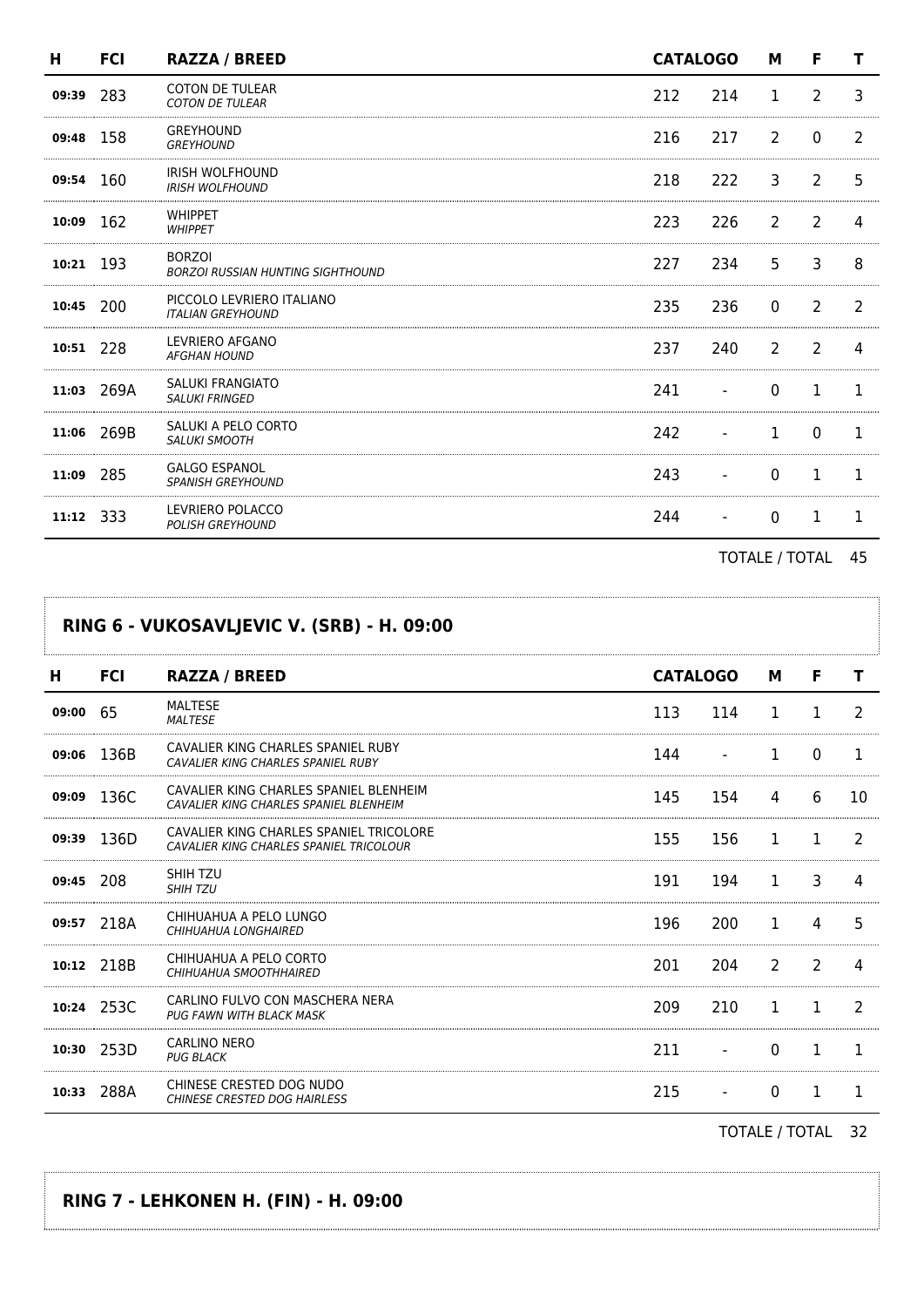| н         | <b>FCI</b> | <b>RAZZA / BREED</b>                                      |     | <b>CATALOGO</b> |             | F              |               |
|-----------|------------|-----------------------------------------------------------|-----|-----------------|-------------|----------------|---------------|
| 09:39     | 283        | <b>COTON DE TULEAR</b><br><b>COTON DE TULEAR</b>          | 212 | 214             | 1           | 2              | 3             |
| 09:48     | 158        | <b>GREYHOUND</b><br><b>GREYHOUND</b>                      | 216 | 217             | 2           | 0              |               |
| 09:54 160 |            | <b>IRISH WOLFHOUND</b><br><b>IRISH WOLFHOUND</b>          | 218 | 222             | 3           | 2              | 5             |
| 10:09     | 162        | <b>WHIPPET</b><br><b>WHIPPET</b>                          | 223 | 226             | 2           | 2              | 4             |
| 10:21     | 193        | <b>BORZOI</b><br><b>BORZOI RUSSIAN HUNTING SIGHTHOUND</b> | 227 | 234             | 5           | 3              | 8             |
| 10:45     | 200        | PICCOLO LEVRIERO ITALIANO<br><b>ITALIAN GREYHOUND</b>     | 235 | 236             | $\Omega$    | $\overline{2}$ | $\mathcal{P}$ |
| 10:51     | 228        | LEVRIERO AFGANO<br><b>AFGHAN HOUND</b>                    | 237 | 240             | 2           | 2              |               |
| 11:03     | 269A       | <b>SALUKI FRANGIATO</b><br><b>SALUKI FRINGED</b>          | 241 |                 | $\mathbf 0$ | 1              | 1             |
| 11:06     | 269B       | SALUKI A PELO CORTO<br><b>SALUKI SMOOTH</b>               | 242 |                 | 1           | 0              | 1             |
| 11:09     | 285        | <b>GALGO ESPANOL</b><br><b>SPANISH GREYHOUND</b>          | 243 |                 | 0           | 1              | 1             |
| 11:12     | 333        | LEVRIERO POLACCO<br><b>POLISH GREYHOUND</b>               | 244 |                 | 0           |                |               |

TOTALE / TOTAL 45

| RING 6 - VUKOSAVLJEVIC V. (SRB) - H. 09:00 |            |                                                                                    |     |                 |    |   |               |  |  |
|--------------------------------------------|------------|------------------------------------------------------------------------------------|-----|-----------------|----|---|---------------|--|--|
| н                                          | <b>FCI</b> | <b>RAZZA / BREED</b>                                                               |     | <b>CATALOGO</b> |    | F | т             |  |  |
| 09:00                                      | 65         | <b>MALTESE</b><br><b>MAI TESE</b>                                                  | 113 | 114             | 1  | 1 | $\mathcal{L}$ |  |  |
| 09:06                                      | 136B       | CAVALIER KING CHARLES SPANIEL RUBY<br>CAVALIER KING CHARLES SPANIEL RUBY           | 144 |                 | 1. | 0 | 1             |  |  |
| 09:09                                      | 136C       | CAVALIER KING CHARLES SPANIEL BLENHEIM<br>CAVALIER KING CHARLES SPANIEL BLENHEIM   | 145 | 154             | 4  | 6 | 10            |  |  |
| 09:39                                      | 136D       | CAVALIER KING CHARLES SPANIEL TRICOLORE<br>CAVALIER KING CHARLES SPANIEL TRICOLOUR | 155 | 156             | 1  | 1 | 2             |  |  |
| 09:45 208                                  |            | SHIH TZU<br><b>SHIH TZU</b>                                                        | 191 | 194             | 1. | 3 |               |  |  |
|                                            | 09:57 218A | CHIHUAHUA A PELO LUNGO<br>CHIHUAHUA LONGHAIRED                                     | 196 | 200             | 1  | 4 | 5             |  |  |
| 10:12                                      | 218B       | CHIHUAHUA A PELO CORTO<br>CHIHUAHUA SMOOTHHAIRED                                   | 201 | 204             | 2  | 2 | 4             |  |  |
|                                            | 10:24 253C | CARLINO FULVO CON MASCHERA NERA<br>PUG FAWN WITH BLACK MASK                        | 209 | 210             | 1  | 1 | $\mathcal{P}$ |  |  |
|                                            | 10:30 253D | <b>CARLINO NERO</b><br><b>PUG BLACK</b>                                            | 211 |                 | 0  | 1 | 1             |  |  |
| 10:33                                      | 288A       | CHINESE CRESTED DOG NUDO<br><b>CHINESE CRESTED DOG HAIRLESS</b>                    | 215 |                 | 0  | 1 | 1.            |  |  |

TOTALE / TOTAL 32

## **RING 7 - LEHKONEN H. (FIN) - H. 09:00**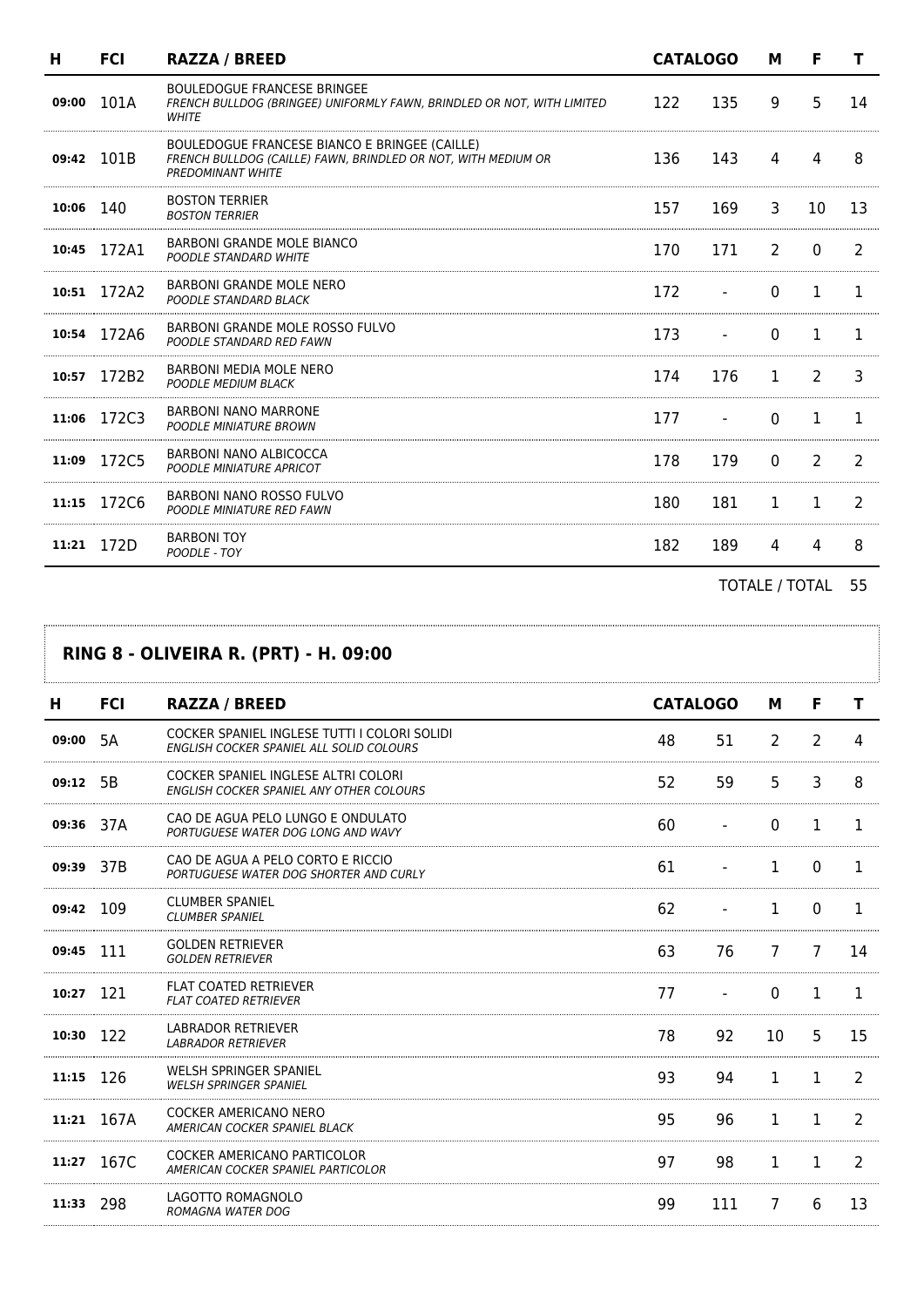| н           | <b>FCI</b> | <b>RAZZA / BREED</b>                                                                                                                       | <b>CATALOGO</b> |     | м              | F             |    |
|-------------|------------|--------------------------------------------------------------------------------------------------------------------------------------------|-----------------|-----|----------------|---------------|----|
| 09:00       | 101A       | <b>BOULEDOGUE FRANCESE BRINGEE</b><br>FRENCH BULLDOG (BRINGEE) UNIFORMLY FAWN, BRINDLED OR NOT, WITH LIMITED<br>WHITE                      | 122             | 135 | 9              | 5             | 14 |
| 09:42 101B  |            | BOULEDOGUE FRANCESE BIANCO E BRINGEE (CAILLE)<br>FRENCH BULLDOG (CAILLE) FAWN, BRINDLED OR NOT, WITH MEDIUM OR<br><b>PREDOMINANT WHITE</b> | 136             | 143 | 4              | 4             | 8  |
| 10:06 140   |            | <b>BOSTON TERRIER</b><br><b>BOSTON TERRIER</b>                                                                                             | 157             | 169 | 3              | 10            | 13 |
| 10:45       | 172A1      | BARBONI GRANDE MOLE BIANCO<br>POODLE STANDARD WHITE                                                                                        | 170             | 171 | $\overline{2}$ | $\Omega$      | 2  |
| 10:51 172A2 |            | <b>BARBONI GRANDE MOLE NERO</b><br>POODLE STANDARD BLACK                                                                                   | 172             |     | $\Omega$       | 1             | 1. |
| 10:54 172A6 |            | BARBONI GRANDE MOLE ROSSO FULVO<br>POODLE STANDARD RED FAWN                                                                                | 173             |     | $\Omega$       | 1             | 1. |
| 10:57       | 172B2      | BARBONI MEDIA MOLE NERO<br>POODLE MEDIUM BLACK                                                                                             | 174             | 176 | 1.             | $\mathcal{P}$ | 3  |
| 11:06 172C3 |            | <b>BARBONI NANO MARRONE</b><br><b>POODLE MINIATURE BROWN</b>                                                                               | 177             |     | $\Omega$       | 1             | 1. |
| 11:09       | 172C5      | BARBONI NANO ALBICOCCA<br><b>POODLE MINIATURE APRICOT</b>                                                                                  | 178             | 179 | $\Omega$       | 2             | 2  |
| 11:15       | 172C6      | BARBONI NANO ROSSO FULVO<br>POODLE MINIATURE RED FAWN                                                                                      | 180             | 181 | 1              | 1             | 2  |
| 11:21 172D  |            | <b>BARBONI TOY</b><br>POODLE - TOY                                                                                                         | 182             | 189 | 4              | 4             | 8  |

TOTALE / TOTAL 55

| <b>RING 8 - OLIVEIRA R. (PRT) - H. 09:00</b> |            |                                                                                          |    |                 |                |    |    |  |  |
|----------------------------------------------|------------|------------------------------------------------------------------------------------------|----|-----------------|----------------|----|----|--|--|
| н                                            | <b>FCI</b> | <b>RAZZA / BREED</b>                                                                     |    | <b>CATALOGO</b> | М              | F  | т  |  |  |
| 09:00                                        | 5A         | COCKER SPANIEL INGLESE TUTTI I COLORI SOLIDI<br>ENGLISH COCKER SPANIEL ALL SOLID COLOURS | 48 | 51              | 2              | 2  |    |  |  |
| 09:12                                        | 5B         | COCKER SPANIEL INGLESE ALTRI COLORI<br>ENGLISH COCKER SPANIEL ANY OTHER COLOURS          | 52 | 59              | 5              | 3  | 8  |  |  |
| 09:36 37A                                    |            | CAO DE AGUA PELO LUNGO E ONDULATO<br>PORTUGUESE WATER DOG LONG AND WAVY                  | 60 |                 | $\Omega$       | 1  | T. |  |  |
| 09:39 37B                                    |            | CAO DE AGUA A PELO CORTO E RICCIO<br>PORTUGUESE WATER DOG SHORTER AND CURLY              | 61 |                 | 1              | 0  |    |  |  |
| 09:42                                        | 109        | <b>CLUMBER SPANIEL</b><br><b>CLUMBER SPANIEL</b>                                         | 62 |                 | 1              | 0  | 1  |  |  |
| 09:45                                        | 111        | <b>GOLDEN RETRIEVER</b><br><b>GOLDEN RETRIEVER</b>                                       | 63 | 76              | $\overline{7}$ | 7  | 14 |  |  |
| 10:27 121                                    |            | <b>FLAT COATED RETRIEVER</b><br><b>FLAT COATED RETRIEVER</b>                             | 77 |                 | $\Omega$       | 1. |    |  |  |
| 10:30                                        | 122        | <b>LABRADOR RETRIEVER</b><br><b>LABRADOR RETRIEVER</b>                                   | 78 | 92              | 10             | 5  | 15 |  |  |
| 11:15                                        | 126        | WELSH SPRINGER SPANIEL<br>WELSH SPRINGER SPANIEL                                         | 93 | 94              | 1              | 1  | 2  |  |  |
|                                              | 11:21 167A | COCKER AMERICANO NERO<br>AMERICAN COCKER SPANIEL BLACK                                   | 95 | 96              | 1              | 1  | 2  |  |  |
| 11:27                                        | 167C       | COCKER AMERICANO PARTICOLOR<br>AMERICAN COCKER SPANIEL PARTICOLOR                        | 97 | 98              | 1              | 1  | 2  |  |  |
| 11:33                                        | 298        | LAGOTTO ROMAGNOLO<br><b>ROMAGNA WATER DOG</b>                                            | 99 | 111             | 7              | 6  | 13 |  |  |

 $, \ldots$